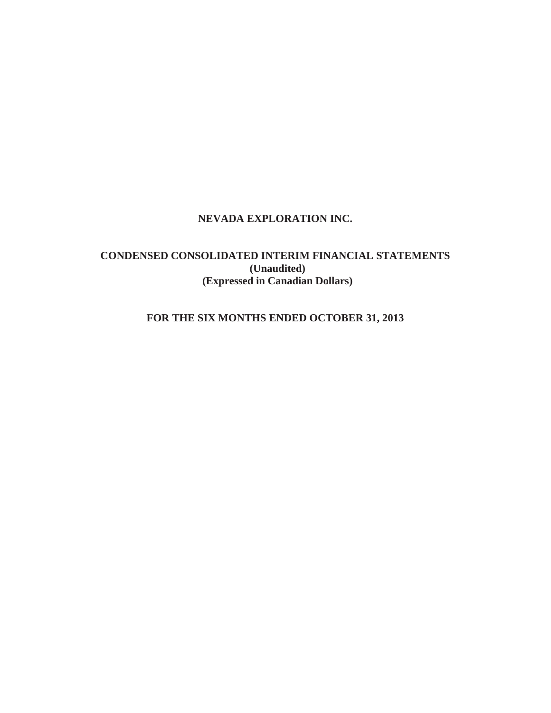# **NEVADA EXPLORATION INC.**

# **CONDENSED CONSOLIDATED INTERIM FINANCIAL STATEMENTS (Unaudited) (Expressed in Canadian Dollars)**

# **FOR THE SIX MONTHS ENDED OCTOBER 31, 2013**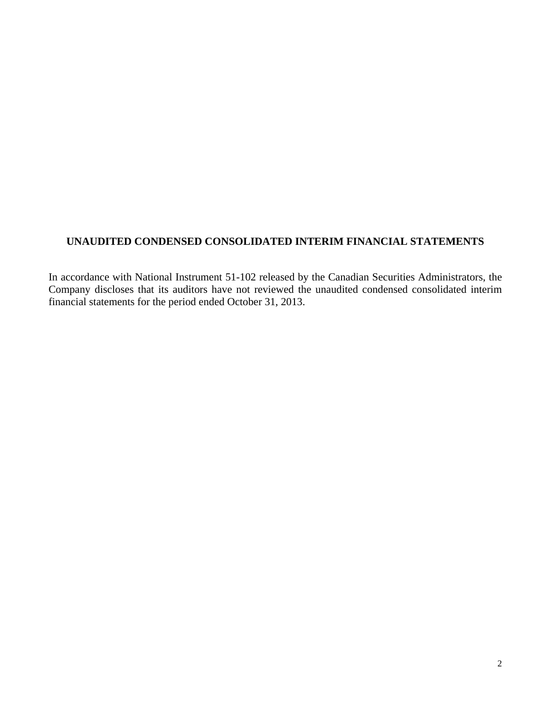# **UNAUDITED CONDENSED CONSOLIDATED INTERIM FINANCIAL STATEMENTS**

In accordance with National Instrument 51-102 released by the Canadian Securities Administrators, the Company discloses that its auditors have not reviewed the unaudited condensed consolidated interim financial statements for the period ended October 31, 2013.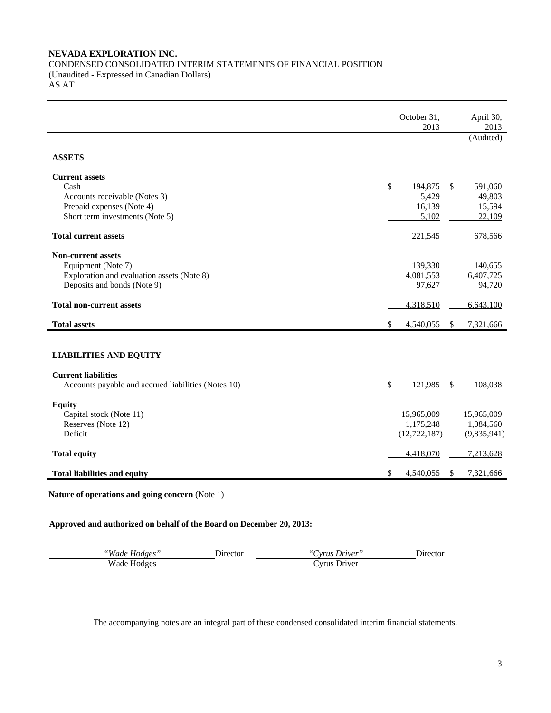## **NEVADA EXPLORATION INC.**  CONDENSED CONSOLIDATED INTERIM STATEMENTS OF FINANCIAL POSITION (Unaudited - Expressed in Canadian Dollars) AS AT

|                                                     | October 31,<br>2013 |                |    |             |  |
|-----------------------------------------------------|---------------------|----------------|----|-------------|--|
|                                                     |                     |                |    | (Audited)   |  |
| <b>ASSETS</b>                                       |                     |                |    |             |  |
| <b>Current assets</b>                               |                     |                |    |             |  |
| Cash                                                | \$                  | 194,875        | \$ | 591,060     |  |
| Accounts receivable (Notes 3)                       |                     | 5,429          |    | 49,803      |  |
| Prepaid expenses (Note 4)                           |                     | 16,139         |    | 15,594      |  |
| Short term investments (Note 5)                     |                     | 5,102          |    | 22,109      |  |
| <b>Total current assets</b>                         |                     | 221,545        |    | 678,566     |  |
| <b>Non-current assets</b>                           |                     |                |    |             |  |
| Equipment (Note 7)                                  |                     | 139,330        |    | 140,655     |  |
| Exploration and evaluation assets (Note 8)          |                     | 4,081,553      |    | 6,407,725   |  |
| Deposits and bonds (Note 9)                         |                     | 97,627         |    | 94,720      |  |
| <b>Total non-current assets</b>                     |                     | 4,318,510      |    | 6,643,100   |  |
| <b>Total assets</b>                                 | \$                  | 4,540,055      | \$ | 7,321,666   |  |
|                                                     |                     |                |    |             |  |
| <b>LIABILITIES AND EQUITY</b>                       |                     |                |    |             |  |
| <b>Current liabilities</b>                          |                     |                |    |             |  |
| Accounts payable and accrued liabilities (Notes 10) | \$                  | 121,985        | \$ | 108,038     |  |
| <b>Equity</b>                                       |                     |                |    |             |  |
| Capital stock (Note 11)                             |                     | 15,965,009     |    | 15,965,009  |  |
| Reserves (Note 12)                                  |                     | 1,175,248      |    | 1,084,560   |  |
| Deficit                                             |                     | (12, 722, 187) |    | (9,835,941) |  |
| <b>Total equity</b>                                 |                     | 4,418,070      |    | 7,213,628   |  |
| <b>Total liabilities and equity</b>                 | \$                  | 4,540,055      | \$ | 7,321,666   |  |

**Nature of operations and going concern** (Note 1)

**Approved and authorized on behalf of the Board on December 20, 2013:**

Director *"Cyrus Driver"* Director *Director* "Wade Hodges"<br>Wade Hodges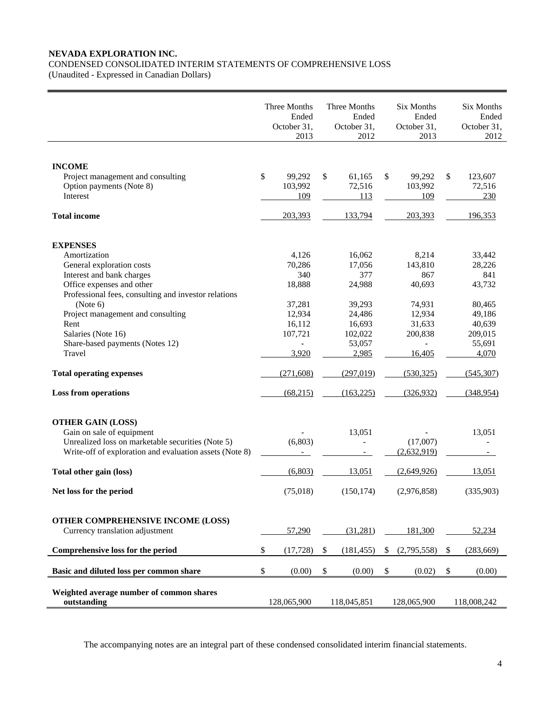## **NEVADA EXPLORATION INC.**  CONDENSED CONSOLIDATED INTERIM STATEMENTS OF COMPREHENSIVE LOSS

(Unaudited - Expressed in Canadian Dollars)

|                                                                                                                                                                       | Three Months<br>Ended<br>October 31,<br>2013 | <b>Three Months</b><br>Ended<br>October 31,<br>2012 | <b>Six Months</b><br>Ended<br>October 31,<br>2013 | <b>Six Months</b><br>Ended<br>October 31,<br>2012 |
|-----------------------------------------------------------------------------------------------------------------------------------------------------------------------|----------------------------------------------|-----------------------------------------------------|---------------------------------------------------|---------------------------------------------------|
| <b>INCOME</b><br>Project management and consulting<br>Option payments (Note 8)                                                                                        | \$<br>99,292<br>103,992                      | \$<br>61,165<br>72,516                              | \$<br>99,292<br>103,992                           | \$<br>123,607<br>72,516                           |
| Interest                                                                                                                                                              | 109                                          | 113                                                 | 109                                               | 230                                               |
| <b>Total income</b>                                                                                                                                                   | 203,393                                      | 133,794                                             | 203,393                                           | 196,353                                           |
| <b>EXPENSES</b>                                                                                                                                                       |                                              |                                                     |                                                   |                                                   |
| Amortization                                                                                                                                                          | 4,126                                        | 16,062                                              | 8,214                                             | 33,442                                            |
| General exploration costs                                                                                                                                             | 70,286                                       | 17,056                                              | 143,810                                           | 28,226                                            |
| Interest and bank charges                                                                                                                                             | 340                                          | 377                                                 | 867                                               | 841                                               |
| Office expenses and other                                                                                                                                             | 18,888                                       | 24,988                                              | 40,693                                            | 43,732                                            |
| Professional fees, consulting and investor relations                                                                                                                  |                                              |                                                     |                                                   |                                                   |
| (Note 6)                                                                                                                                                              | 37,281                                       | 39,293                                              | 74,931                                            | 80,465                                            |
| Project management and consulting                                                                                                                                     | 12,934                                       | 24,486                                              | 12,934                                            | 49,186                                            |
| Rent                                                                                                                                                                  | 16,112                                       | 16,693                                              | 31,633                                            | 40,639                                            |
| Salaries (Note 16)                                                                                                                                                    | 107,721                                      | 102,022                                             | 200,838                                           | 209,015                                           |
| Share-based payments (Notes 12)                                                                                                                                       |                                              | 53,057                                              |                                                   | 55,691                                            |
| Travel                                                                                                                                                                | 3,920                                        | 2,985                                               | 16,405                                            | 4,070                                             |
| <b>Total operating expenses</b>                                                                                                                                       | (271, 608)                                   | (297,019)                                           | (530, 325)                                        | (545, 307)                                        |
| <b>Loss from operations</b>                                                                                                                                           | (68, 215)                                    | (163, 225)                                          | (326, 932)                                        | (348,954)                                         |
| <b>OTHER GAIN (LOSS)</b><br>Gain on sale of equipment<br>Unrealized loss on marketable securities (Note 5)<br>Write-off of exploration and evaluation assets (Note 8) | (6,803)                                      | 13,051                                              | (17,007)<br>(2,632,919)                           | 13,051                                            |
| Total other gain (loss)                                                                                                                                               | (6,803)                                      | 13,051                                              | (2,649,926)                                       | 13,051                                            |
| Net loss for the period                                                                                                                                               | (75,018)                                     | (150, 174)                                          | (2,976,858)                                       | (335,903)                                         |
| OTHER COMPREHENSIVE INCOME (LOSS)<br>Currency translation adjustment                                                                                                  | 57,290                                       | (31,281)                                            | 181,300                                           | 52,234                                            |
| Comprehensive loss for the period                                                                                                                                     | \$<br>(17, 728)                              | \$<br>(181, 455)                                    | \$<br>(2,795,558)                                 | \$<br>(283, 669)                                  |
| Basic and diluted loss per common share                                                                                                                               | \$<br>(0.00)                                 | \$<br>(0.00)                                        | \$<br>(0.02)                                      | \$<br>(0.00)                                      |
| Weighted average number of common shares<br>outstanding                                                                                                               | 128,065,900                                  | 118,045,851                                         | 128,065,900                                       | 118,008,242                                       |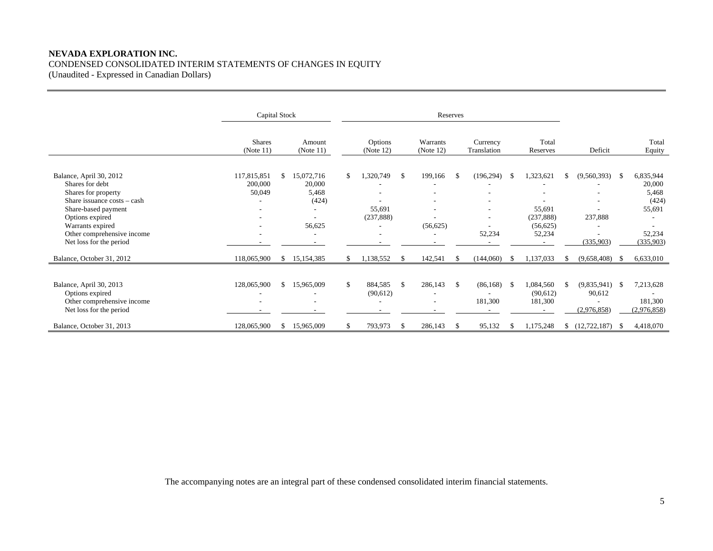## **NEVADA EXPLORATION INC.**  CONDENSED CONSOLIDATED INTERIM STATEMENTS OF CHANGES IN EQUITY (Unaudited - Expressed in Canadian Dollars)

|                                                                                                                                                                                                                           |                                  | Capital Stock |                                                                                                          |    |                                  | Reserves      |                           |               |                         |      |                                                          |     |                                           |      |                                                                        |
|---------------------------------------------------------------------------------------------------------------------------------------------------------------------------------------------------------------------------|----------------------------------|---------------|----------------------------------------------------------------------------------------------------------|----|----------------------------------|---------------|---------------------------|---------------|-------------------------|------|----------------------------------------------------------|-----|-------------------------------------------|------|------------------------------------------------------------------------|
|                                                                                                                                                                                                                           | <b>Shares</b><br>(Note 11)       |               | Amount<br>(Note 11)                                                                                      |    | Options<br>(Note 12)             |               | Warrants<br>(Note 12)     |               | Currency<br>Translation |      | Total<br>Reserves                                        |     | Deficit                                   |      | Total<br>Equity                                                        |
| Balance, April 30, 2012<br>Shares for debt<br>Shares for property<br>Share issuance $costs - cash$<br>Share-based payment<br>Options expired<br>Warrants expired<br>Other comprehensive income<br>Net loss for the period | 117,815,851<br>200,000<br>50,049 | \$            | 15,072,716<br>20,000<br>5,468<br>(424)<br>$\overline{\phantom{a}}$<br>56,625<br>$\overline{\phantom{a}}$ |    | ,320,749<br>55,691<br>(237, 888) | <sup>\$</sup> | 199,166<br>٠<br>(56, 625) | <sup>\$</sup> | (196, 294)<br>52,234    | -\$  | 1,323,621<br>55,691<br>(237, 888)<br>(56, 625)<br>52,234 |     | (9,560,393)<br>237,888<br>(335,903)       | - \$ | 6,835,944<br>20,000<br>5,468<br>(424)<br>55,691<br>52,234<br>(335,903) |
| Balance, October 31, 2012                                                                                                                                                                                                 | 118,065,900                      | \$.           | 15, 154, 385                                                                                             |    | 1,138,552                        | -S            | 142,541                   | S             | (144,060)               | -S   | 1,137,033                                                |     | (9,658,408)                               | - S  | 6,633,010                                                              |
| Balance, April 30, 2013<br>Options expired<br>Other comprehensive income<br>Net loss for the period                                                                                                                       | 128,065,900                      | \$            | 15,965,009<br>٠                                                                                          | \$ | 884,585<br>(90,612)              | -\$           | 286,143<br>٠<br>۰.        | \$            | (86, 168)<br>181,300    | - \$ | 1,084,560<br>(90,612)<br>181,300                         | \$. | $(9,835,941)$ \$<br>90,612<br>(2,976,858) |      | 7,213,628<br>181,300<br>(2,976,858)                                    |
| Balance, October 31, 2013                                                                                                                                                                                                 | 128,065,900                      | \$            | 15,965,009                                                                                               |    | 793,973                          | <sup>\$</sup> | 286,143                   | \$            | 95,132                  |      | 1,175,248                                                | S.  | (12, 722, 187)                            | - S  | 4,418,070                                                              |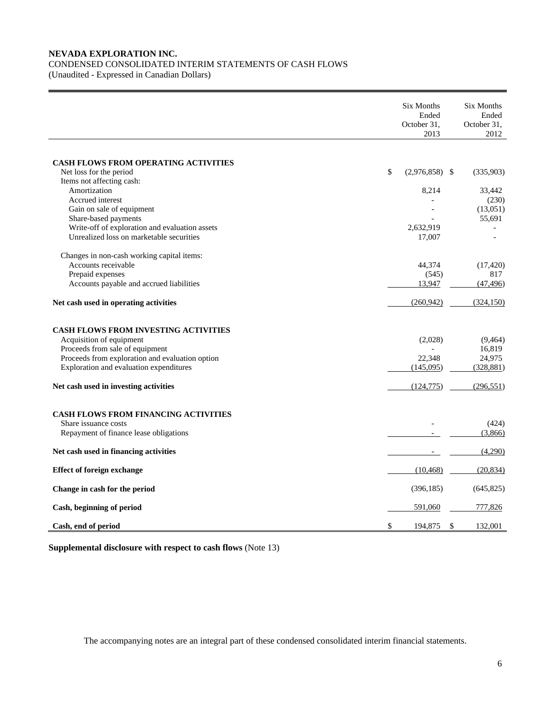# **NEVADA EXPLORATION INC.**  CONDENSED CONSOLIDATED INTERIM STATEMENTS OF CASH FLOWS

(Unaudited - Expressed in Canadian Dollars)

|                                                 | Six Months<br>Ended<br>October 31,<br>2013 | Six Months<br>Ended<br>October 31,<br>2012 |
|-------------------------------------------------|--------------------------------------------|--------------------------------------------|
|                                                 |                                            |                                            |
| CASH FLOWS FROM OPERATING ACTIVITIES            |                                            |                                            |
| Net loss for the period                         | \$<br>$(2,976,858)$ \$                     | (335,903)                                  |
| Items not affecting cash:                       |                                            |                                            |
| Amortization                                    | 8,214                                      | 33,442                                     |
| Accrued interest                                |                                            | (230)                                      |
| Gain on sale of equipment                       |                                            | (13,051)                                   |
| Share-based payments                            |                                            | 55,691                                     |
| Write-off of exploration and evaluation assets  | 2,632,919                                  |                                            |
| Unrealized loss on marketable securities        | 17,007                                     |                                            |
| Changes in non-cash working capital items:      |                                            |                                            |
| Accounts receivable                             | 44,374                                     | (17, 420)                                  |
| Prepaid expenses                                | (545)                                      | 817                                        |
| Accounts payable and accrued liabilities        | 13,947                                     | (47, 496)                                  |
|                                                 |                                            |                                            |
| Net cash used in operating activities           | (260.942)                                  | (324, 150)                                 |
|                                                 |                                            |                                            |
| CASH FLOWS FROM INVESTING ACTIVITIES            |                                            |                                            |
| Acquisition of equipment                        | (2,028)                                    | (9, 464)                                   |
| Proceeds from sale of equipment                 |                                            | 16,819<br>24,975                           |
| Proceeds from exploration and evaluation option | 22,348                                     |                                            |
| Exploration and evaluation expenditures         | (145,095)                                  | (328, 881)                                 |
| Net cash used in investing activities           | (124, 775)                                 | (296, 551)                                 |
|                                                 |                                            |                                            |
| CASH FLOWS FROM FINANCING ACTIVITIES            |                                            |                                            |
| Share issuance costs                            |                                            | (424)                                      |
| Repayment of finance lease obligations          |                                            | (3,866)                                    |
|                                                 |                                            |                                            |
| Net cash used in financing activities           |                                            | (4,290)                                    |
| <b>Effect of foreign exchange</b>               | (10, 468)                                  | (20, 834)                                  |
| Change in cash for the period                   | (396, 185)                                 | (645, 825)                                 |
| Cash, beginning of period                       | 591,060                                    | 777,826                                    |
| Cash, end of period                             | \$<br>194,875<br>\$                        | 132,001                                    |

**Supplemental disclosure with respect to cash flows** (Note 13)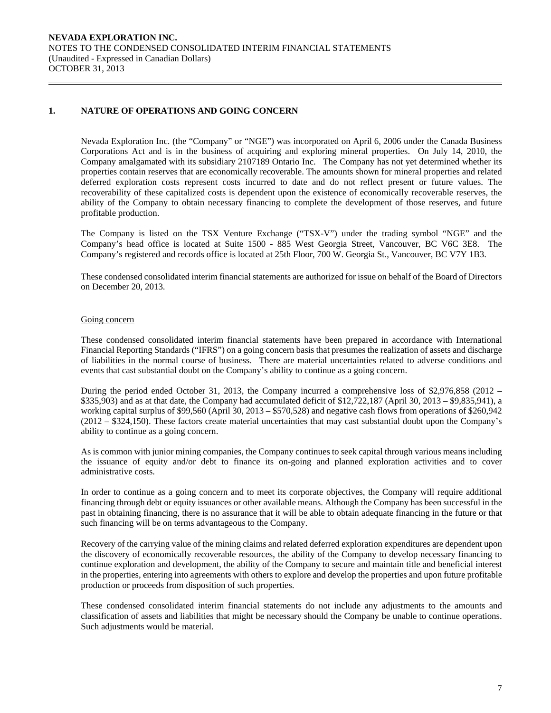## **1. NATURE OF OPERATIONS AND GOING CONCERN**

Nevada Exploration Inc. (the "Company" or "NGE") was incorporated on April 6, 2006 under the Canada Business Corporations Act and is in the business of acquiring and exploring mineral properties. On July 14, 2010, the Company amalgamated with its subsidiary 2107189 Ontario Inc. The Company has not yet determined whether its properties contain reserves that are economically recoverable. The amounts shown for mineral properties and related deferred exploration costs represent costs incurred to date and do not reflect present or future values. The recoverability of these capitalized costs is dependent upon the existence of economically recoverable reserves, the ability of the Company to obtain necessary financing to complete the development of those reserves, and future profitable production.

The Company is listed on the TSX Venture Exchange ("TSX-V") under the trading symbol "NGE" and the Company's head office is located at Suite 1500 - 885 West Georgia Street, Vancouver, BC V6C 3E8. The Company's registered and records office is located at 25th Floor, 700 W. Georgia St., Vancouver, BC V7Y 1B3.

 These condensed consolidated interim financial statements are authorized for issue on behalf of the Board of Directors on December 20, 2013.

#### Going concern

These condensed consolidated interim financial statements have been prepared in accordance with International Financial Reporting Standards ("IFRS") on a going concern basis that presumes the realization of assets and discharge of liabilities in the normal course of business. There are material uncertainties related to adverse conditions and events that cast substantial doubt on the Company's ability to continue as a going concern.

During the period ended October 31, 2013, the Company incurred a comprehensive loss of \$2,976,858 (2012 – \$335,903) and as at that date, the Company had accumulated deficit of \$12,722,187 (April 30, 2013 – \$9,835,941), a working capital surplus of \$99,560 (April 30, 2013 – \$570,528) and negative cash flows from operations of \$260,942 (2012 – \$324,150). These factors create material uncertainties that may cast substantial doubt upon the Company's ability to continue as a going concern.

As is common with junior mining companies, the Company continues to seek capital through various means including the issuance of equity and/or debt to finance its on-going and planned exploration activities and to cover administrative costs.

In order to continue as a going concern and to meet its corporate objectives, the Company will require additional financing through debt or equity issuances or other available means. Although the Company has been successful in the past in obtaining financing, there is no assurance that it will be able to obtain adequate financing in the future or that such financing will be on terms advantageous to the Company.

 Recovery of the carrying value of the mining claims and related deferred exploration expenditures are dependent upon the discovery of economically recoverable resources, the ability of the Company to develop necessary financing to continue exploration and development, the ability of the Company to secure and maintain title and beneficial interest in the properties, entering into agreements with others to explore and develop the properties and upon future profitable production or proceeds from disposition of such properties.

 These condensed consolidated interim financial statements do not include any adjustments to the amounts and classification of assets and liabilities that might be necessary should the Company be unable to continue operations. Such adjustments would be material.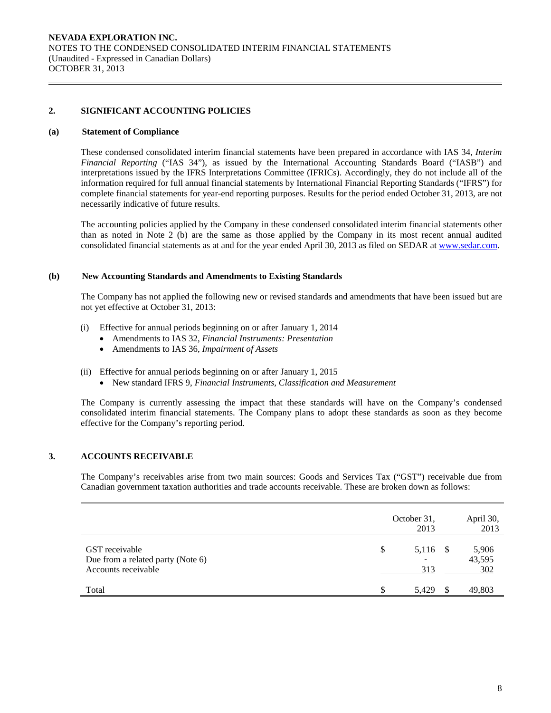## **2. SIGNIFICANT ACCOUNTING POLICIES**

#### **(a) Statement of Compliance**

 These condensed consolidated interim financial statements have been prepared in accordance with IAS 34, *Interim Financial Reporting* ("IAS 34"), as issued by the International Accounting Standards Board ("IASB") and interpretations issued by the IFRS Interpretations Committee (IFRICs). Accordingly, they do not include all of the information required for full annual financial statements by International Financial Reporting Standards ("IFRS") for complete financial statements for year-end reporting purposes. Results for the period ended October 31, 2013, are not necessarily indicative of future results.

 The accounting policies applied by the Company in these condensed consolidated interim financial statements other than as noted in Note 2 (b) are the same as those applied by the Company in its most recent annual audited consolidated financial statements as at and for the year ended April 30, 2013 as filed on SEDAR at www.sedar.com.

## **(b) New Accounting Standards and Amendments to Existing Standards**

 The Company has not applied the following new or revised standards and amendments that have been issued but are not yet effective at October 31, 2013:

- (i) Effective for annual periods beginning on or after January 1, 2014
	- Amendments to IAS 32, *Financial Instruments: Presentation*
	- Amendments to IAS 36, *Impairment of Assets*
- (ii) Effective for annual periods beginning on or after January 1, 2015
	- New standard IFRS 9, *Financial Instruments, Classification and Measurement*

The Company is currently assessing the impact that these standards will have on the Company's condensed consolidated interim financial statements. The Company plans to adopt these standards as soon as they become effective for the Company's reporting period.

## **3. ACCOUNTS RECEIVABLE**

The Company's receivables arise from two main sources: Goods and Services Tax ("GST") receivable due from Canadian government taxation authorities and trade accounts receivable. These are broken down as follows:

|                                                                            | October 31,<br>2013   |    | April 30,<br>2013      |
|----------------------------------------------------------------------------|-----------------------|----|------------------------|
| GST receivable<br>Due from a related party (Note 6)<br>Accounts receivable | \$<br>5,116 \$<br>313 |    | 5,906<br>43,595<br>302 |
| Total                                                                      | 5.429                 | -S | 49,803                 |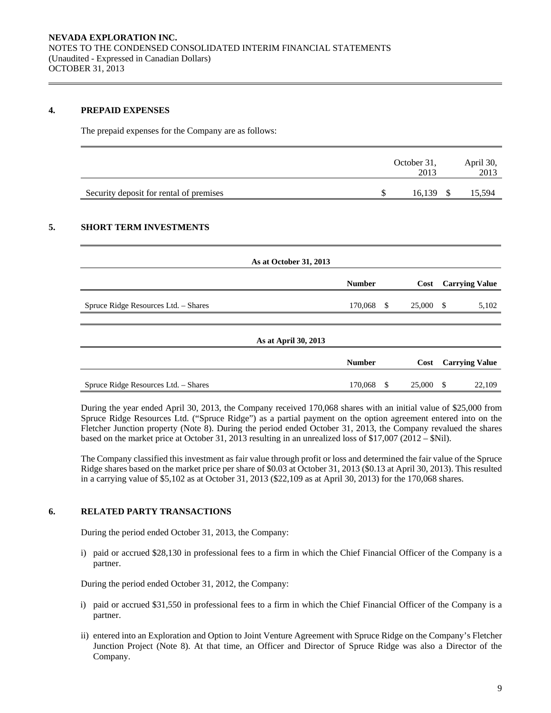## **4. PREPAID EXPENSES**

The prepaid expenses for the Company are as follows:

|                                         | October 31,<br>2013 | April 30,<br>2013 |
|-----------------------------------------|---------------------|-------------------|
| Security deposit for rental of premises | 16,139              | 15,594            |

## **5. SHORT TERM INVESTMENTS**

| As at October 31, 2013               |               |        |      |                       |
|--------------------------------------|---------------|--------|------|-----------------------|
|                                      | <b>Number</b> | Cost   |      | <b>Carrying Value</b> |
| Spruce Ridge Resources Ltd. - Shares | 170,068 \$    | 25,000 | - \$ | 5,102                 |
|                                      |               |        |      |                       |
| As at April 30, 2013                 |               |        |      |                       |
|                                      | <b>Number</b> | Cost   |      | <b>Carrying Value</b> |
| Spruce Ridge Resources Ltd. - Shares | 170,068 \$    | 25,000 | \$   | 22,109                |

During the year ended April 30, 2013, the Company received 170,068 shares with an initial value of \$25,000 from Spruce Ridge Resources Ltd. ("Spruce Ridge") as a partial payment on the option agreement entered into on the Fletcher Junction property (Note 8). During the period ended October 31, 2013, the Company revalued the shares based on the market price at October 31, 2013 resulting in an unrealized loss of \$17,007 (2012 – \$Nil).

The Company classified this investment as fair value through profit or loss and determined the fair value of the Spruce Ridge shares based on the market price per share of \$0.03 at October 31, 2013 (\$0.13 at April 30, 2013). This resulted in a carrying value of \$5,102 as at October 31, 2013 (\$22,109 as at April 30, 2013) for the 170,068 shares.

## **6. RELATED PARTY TRANSACTIONS**

During the period ended October 31, 2013, the Company:

i) paid or accrued \$28,130 in professional fees to a firm in which the Chief Financial Officer of the Company is a partner.

During the period ended October 31, 2012, the Company:

- i) paid or accrued \$31,550 in professional fees to a firm in which the Chief Financial Officer of the Company is a partner.
- ii) entered into an Exploration and Option to Joint Venture Agreement with Spruce Ridge on the Company's Fletcher Junction Project (Note 8). At that time, an Officer and Director of Spruce Ridge was also a Director of the Company.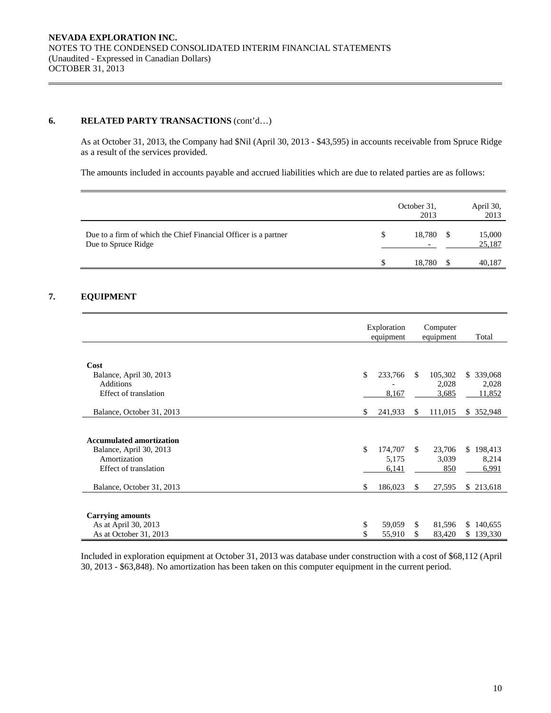## **6. RELATED PARTY TRANSACTIONS** (cont'd…)

As at October 31, 2013, the Company had \$Nil (April 30, 2013 - \$43,595) in accounts receivable from Spruce Ridge as a result of the services provided.

The amounts included in accounts payable and accrued liabilities which are due to related parties are as follows:

|                                                                                        | October 31,<br>2013                      | April 30,<br>2013 |
|----------------------------------------------------------------------------------------|------------------------------------------|-------------------|
| Due to a firm of which the Chief Financial Officer is a partner<br>Due to Spruce Ridge | \$<br>18,780<br>$\overline{\phantom{0}}$ | 15,000<br>25,187  |
|                                                                                        | 18,780                                   | 40,187            |

## **7. EQUIPMENT**

|                                 | Exploration<br>equipment |     | Computer<br>equipment | Total          |
|---------------------------------|--------------------------|-----|-----------------------|----------------|
|                                 |                          |     |                       |                |
| Cost                            |                          |     |                       |                |
| Balance, April 30, 2013         | \$<br>233,766            | \$. | 105,302               | \$ 339,068     |
| <b>Additions</b>                |                          |     | 2,028                 | 2,028          |
| Effect of translation           | 8,167                    |     | 3,685                 | 11,852         |
|                                 |                          |     |                       |                |
| Balance, October 31, 2013       | \$<br>241,933            | S   | 111,015               | 352,948<br>S.  |
|                                 |                          |     |                       |                |
| <b>Accumulated amortization</b> |                          |     |                       |                |
| Balance, April 30, 2013         | \$<br>174,707            | \$. | 23,706                | 198,413<br>\$. |
| Amortization                    | 5,175                    |     | 3,039                 | 8,214          |
| Effect of translation           | 6,141                    |     | 850                   | 6,991          |
|                                 |                          |     |                       |                |
| Balance, October 31, 2013       | \$<br>186,023            | \$. | 27,595                | \$213,618      |
|                                 |                          |     |                       |                |
| <b>Carrying amounts</b>         |                          |     |                       |                |
| As at April 30, 2013            | \$<br>59,059             | \$  | 81,596                | \$140,655      |
| As at October 31, 2013          | \$<br>55,910             | \$  | 83,420                | 139,330<br>S.  |

Included in exploration equipment at October 31, 2013 was database under construction with a cost of \$68,112 (April 30, 2013 - \$63,848). No amortization has been taken on this computer equipment in the current period.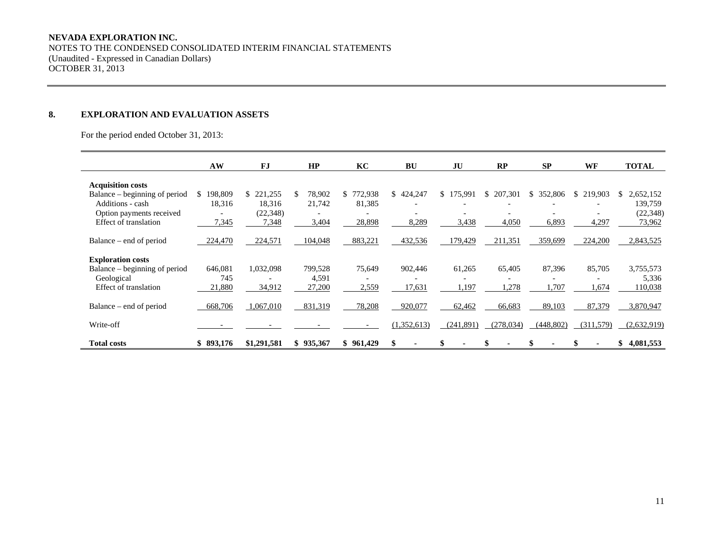#### **NEVADA EXPLORATION INC.**

NOTES TO THE CONDENSED CONSOLIDATED INTERIM FINANCIAL STATEMENTS (Unaudited - Expressed in Canadian Dollars) OCTOBER 31, 2013

## **8. EXPLORATION AND EVALUATION ASSETS**

For the period ended October 31, 2013:

|                               | AW             | FJ             | HP            | KC            | <b>BU</b>   | JU                       | RP         | SP            | WF                       | <b>TOTAL</b>     |
|-------------------------------|----------------|----------------|---------------|---------------|-------------|--------------------------|------------|---------------|--------------------------|------------------|
| <b>Acquisition costs</b>      |                |                |               |               |             |                          |            |               |                          |                  |
| Balance – beginning of period | 198,809<br>\$. | 221,255<br>\$. | 78,902<br>\$. | 772,938<br>\$ | \$424,247   | \$175,991                | \$ 207,301 | 352,806<br>\$ | \$219,903                | 2,652,152<br>S.  |
| Additions - cash              | 18,316         | 18,316         | 21,742        | 81,385        |             |                          |            |               |                          | 139,759          |
| Option payments received      |                | (22, 348)      | ۰             |               |             | $\overline{\phantom{0}}$ |            |               | $\overline{\phantom{0}}$ | (22, 348)        |
| <b>Effect of translation</b>  | 7,345          | 7,348          | 3,404         | 28,898        | 8,289       | 3,438                    | 4,050      | 6,893         | 4,297                    | 73,962           |
| Balance – end of period       | 224,470        | 224,571        | 104,048       | 883,221       | 432,536     | 179,429                  | 211,351    | 359,699       | 224,200                  | 2,843,525        |
| <b>Exploration costs</b>      |                |                |               |               |             |                          |            |               |                          |                  |
| Balance – beginning of period | 646,081        | 1,032,098      | 799,528       | 75,649        | 902,446     | 61,265                   | 65,405     | 87,396        | 85,705                   | 3,755,573        |
| Geological                    | 745            |                | 4,591         |               |             |                          |            |               |                          | 5,336            |
| <b>Effect of translation</b>  | 21,880         | 34,912         | 27,200        | 2,559         | 17,631      | 1,197                    | 1,278      | 1,707         | .674                     | 110,038          |
|                               |                |                |               |               |             |                          |            |               |                          |                  |
| Balance – end of period       | 668,706        | 1,067,010      | 831,319       | 78,208        | 920,077     | 62,462                   | 66,683     | 89,103        | 87,379                   | 3,870,947        |
| Write-off                     |                |                |               |               | (1,352,613) | (241,891)                | (278, 034) | (448, 802)    | (311,579)                | (2,632,919)      |
| <b>Total costs</b>            | \$893,176      | \$1,291,581    | 935,367<br>\$ | 961,429<br>\$ |             |                          |            |               |                          | 4,081,553<br>\$. |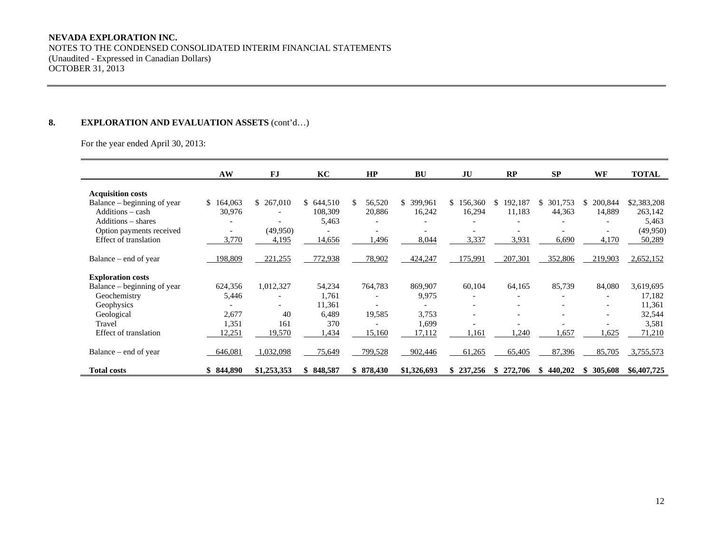#### **NEVADA EXPLORATION INC.**

NOTES TO THE CONDENSED CONSOLIDATED INTERIM FINANCIAL STATEMENTS (Unaudited - Expressed in Canadian Dollars) OCTOBER 31, 2013

## 8. **EXPLORATION AND EVALUATION ASSETS** (cont'd...)

For the year ended April 30, 2013:

|                                                         | AW            | FJ                       | KC        | HP           | <b>BU</b>     | JU            | RP            | SP             | WF                       | <b>TOTAL</b> |
|---------------------------------------------------------|---------------|--------------------------|-----------|--------------|---------------|---------------|---------------|----------------|--------------------------|--------------|
|                                                         |               |                          |           |              |               |               |               |                |                          |              |
| <b>Acquisition costs</b><br>Balance – beginning of year | 164,063<br>S. | \$ 267,010               | \$644,510 | 56,520<br>S. | 399,961<br>S. | \$156,360     | 192,187<br>S. | 301,753        | 200,844<br>S.            | \$2,383,208  |
| Additions – cash                                        | 30,976        |                          | 108,309   | 20,886       | 16,242        | 16,294        | 11,183        | S<br>44,363    | 14,889                   | 263,142      |
| Additions – shares                                      |               |                          | 5,463     |              |               |               |               |                |                          |              |
|                                                         |               | ٠                        |           |              |               |               |               |                |                          | 5,463        |
| Option payments received                                |               | (49,950)                 |           |              |               |               |               |                |                          | (49,950)     |
| Effect of translation                                   | 3,770         | 4,195                    | 14,656    | .496         | 8,044         | 3,337         | 3,931         | 6,690          | 4,170                    | 50,289       |
| Balance – end of year                                   | 198,809       | 221,255                  | 772,938   | 78,902       | 424,247       | 175,991       | 207,301       | 352,806        | 219,903                  | 2,652,152    |
| <b>Exploration costs</b>                                |               |                          |           |              |               |               |               |                |                          |              |
| Balance – beginning of year                             | 624,356       | 1,012,327                | 54,234    | 764,783      | 869,907       | 60,104        | 64,165        | 85,739         | 84,080                   | 3,619,695    |
| Geochemistry                                            | 5,446         |                          | 1,761     |              | 9,975         |               |               |                |                          | 17,182       |
| Geophysics                                              |               | $\overline{\phantom{0}}$ | 11,361    |              |               | ۰             |               |                | $\overline{\phantom{a}}$ | 11,361       |
| Geological                                              | 2,677         | 40                       | 6.489     | 19,585       | 3,753         |               |               |                | $\overline{\phantom{a}}$ | 32,544       |
| Travel                                                  | 1,351         | 161                      | 370       |              | 1,699         |               |               |                |                          | 3,581        |
| Effect of translation                                   | 12,251        | 19,570                   | 1,434     | 15,160       | 17,112        | .161          | ,240          | 1,657          | 1,625                    | 71,210       |
|                                                         |               |                          |           |              |               |               |               |                |                          |              |
| Balance – end of year                                   | 646,081       | 1,032,098                | 75,649    | 799,528      | 902,446       | 61,265        | 65,405        | 87,396         | 85,705                   | 3,755,573    |
|                                                         |               |                          |           |              |               |               |               |                |                          |              |
| <b>Total costs</b>                                      | \$844,890     | \$1,253,353              | \$848,587 | \$878,430    | \$1,326,693   | 237,256<br>\$ | 272,706<br>S. | 440,202<br>SS. | 305,608<br>SS.           | \$6,407,725  |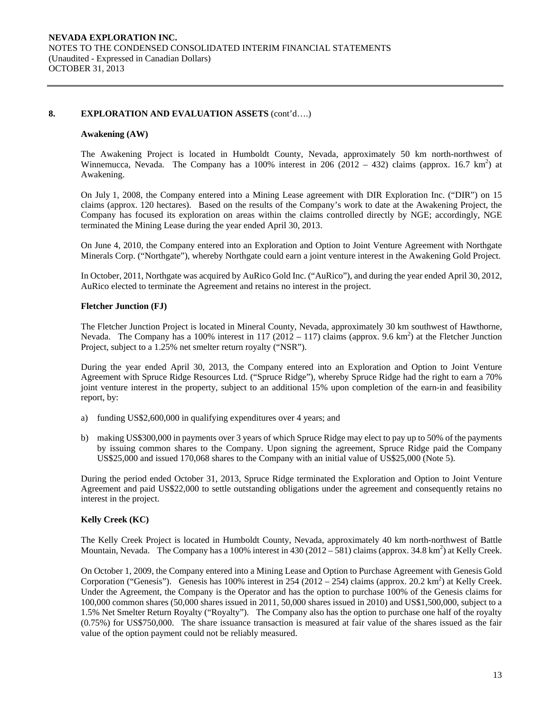## **8. EXPLORATION AND EVALUATION ASSETS** (cont'd….)

#### **Awakening (AW)**

The Awakening Project is located in Humboldt County, Nevada, approximately 50 km north-northwest of Winnemucca, Nevada. The Company has a 100% interest in 206 (2012 – 432) claims (approx. 16.7 km<sup>2</sup>) at Awakening.

On July 1, 2008, the Company entered into a Mining Lease agreement with DIR Exploration Inc. ("DIR") on 15 claims (approx. 120 hectares). Based on the results of the Company's work to date at the Awakening Project, the Company has focused its exploration on areas within the claims controlled directly by NGE; accordingly, NGE terminated the Mining Lease during the year ended April 30, 2013.

On June 4, 2010, the Company entered into an Exploration and Option to Joint Venture Agreement with Northgate Minerals Corp. ("Northgate"), whereby Northgate could earn a joint venture interest in the Awakening Gold Project.

In October, 2011, Northgate was acquired by AuRico Gold Inc. ("AuRico"), and during the year ended April 30, 2012, AuRico elected to terminate the Agreement and retains no interest in the project.

#### **Fletcher Junction (FJ)**

The Fletcher Junction Project is located in Mineral County, Nevada, approximately 30 km southwest of Hawthorne, Nevada. The Company has a 100% interest in 117 (2012 – 117) claims (approx. 9.6 km<sup>2</sup>) at the Fletcher Junction Project, subject to a 1.25% net smelter return royalty ("NSR").

During the year ended April 30, 2013, the Company entered into an Exploration and Option to Joint Venture Agreement with Spruce Ridge Resources Ltd. ("Spruce Ridge"), whereby Spruce Ridge had the right to earn a 70% joint venture interest in the property, subject to an additional 15% upon completion of the earn-in and feasibility report, by:

- a) funding US\$2,600,000 in qualifying expenditures over 4 years; and
- b) making US\$300,000 in payments over 3 years of which Spruce Ridge may elect to pay up to 50% of the payments by issuing common shares to the Company. Upon signing the agreement, Spruce Ridge paid the Company US\$25,000 and issued 170,068 shares to the Company with an initial value of US\$25,000 (Note 5).

During the period ended October 31, 2013, Spruce Ridge terminated the Exploration and Option to Joint Venture Agreement and paid US\$22,000 to settle outstanding obligations under the agreement and consequently retains no interest in the project.

## **Kelly Creek (KC)**

The Kelly Creek Project is located in Humboldt County, Nevada, approximately 40 km north-northwest of Battle Mountain, Nevada. The Company has a 100% interest in  $430(2012 - 581)$  claims (approx. 34.8 km<sup>2</sup>) at Kelly Creek.

On October 1, 2009, the Company entered into a Mining Lease and Option to Purchase Agreement with Genesis Gold Corporation ("Genesis"). Genesis has 100% interest in 254 (2012 – 254) claims (approx. 20.2 km<sup>2</sup>) at Kelly Creek. Under the Agreement, the Company is the Operator and has the option to purchase 100% of the Genesis claims for 100,000 common shares (50,000 shares issued in 2011, 50,000 shares issued in 2010) and US\$1,500,000, subject to a 1.5% Net Smelter Return Royalty ("Royalty"). The Company also has the option to purchase one half of the royalty (0.75%) for US\$750,000. The share issuance transaction is measured at fair value of the shares issued as the fair value of the option payment could not be reliably measured.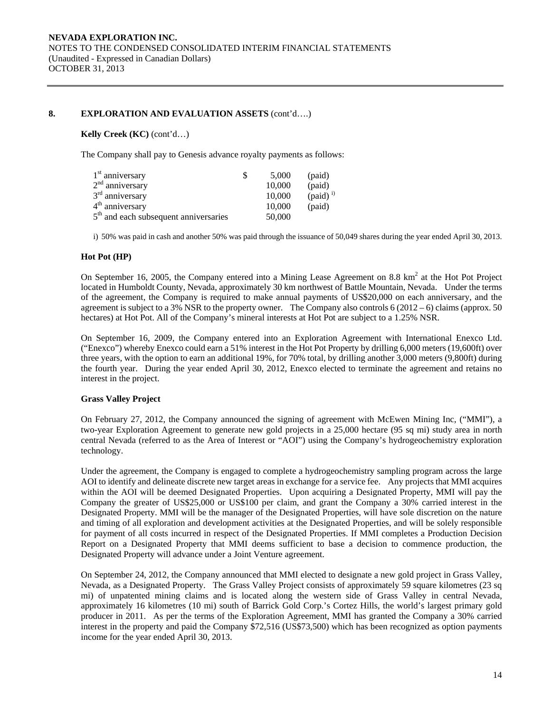## 8. EXPLORATION AND EVALUATION ASSETS  $(cont'd....)$

## **Kelly Creek (KC)** (cont'd…)

The Company shall pay to Genesis advance royalty payments as follows:

| $1st$ anniversary                                 | 5.000  | (paid)               |
|---------------------------------------------------|--------|----------------------|
| $2nd$ anniversary                                 | 10,000 | (paid)               |
| $3rd$ anniversary                                 | 10,000 | (paid) <sup>i)</sup> |
| $4th$ anniversary                                 | 10,000 | (paid)               |
| 5 <sup>th</sup> and each subsequent anniversaries | 50,000 |                      |

i) 50% was paid in cash and another 50% was paid through the issuance of 50,049 shares during the year ended April 30, 2013.

## **Hot Pot (HP)**

On September 16, 2005, the Company entered into a Mining Lease Agreement on 8.8  $km^2$  at the Hot Project located in Humboldt County, Nevada, approximately 30 km northwest of Battle Mountain, Nevada. Under the terms of the agreement, the Company is required to make annual payments of US\$20,000 on each anniversary, and the agreement is subject to a 3% NSR to the property owner. The Company also controls  $6(2012-6)$  claims (approx. 50) hectares) at Hot Pot. All of the Company's mineral interests at Hot Pot are subject to a 1.25% NSR.

On September 16, 2009, the Company entered into an Exploration Agreement with International Enexco Ltd. ("Enexco") whereby Enexco could earn a 51% interest in the Hot Pot Property by drilling 6,000 meters (19,600ft) over three years, with the option to earn an additional 19%, for 70% total, by drilling another 3,000 meters (9,800ft) during the fourth year. During the year ended April 30, 2012, Enexco elected to terminate the agreement and retains no interest in the project.

## **Grass Valley Project**

On February 27, 2012, the Company announced the signing of agreement with McEwen Mining Inc, ("MMI"), a two-year Exploration Agreement to generate new gold projects in a 25,000 hectare (95 sq mi) study area in north central Nevada (referred to as the Area of Interest or "AOI") using the Company's hydrogeochemistry exploration technology.

Under the agreement, the Company is engaged to complete a hydrogeochemistry sampling program across the large AOI to identify and delineate discrete new target areas in exchange for a service fee. Any projects that MMI acquires within the AOI will be deemed Designated Properties. Upon acquiring a Designated Property, MMI will pay the Company the greater of US\$25,000 or US\$100 per claim, and grant the Company a 30% carried interest in the Designated Property. MMI will be the manager of the Designated Properties, will have sole discretion on the nature and timing of all exploration and development activities at the Designated Properties, and will be solely responsible for payment of all costs incurred in respect of the Designated Properties. If MMI completes a Production Decision Report on a Designated Property that MMI deems sufficient to base a decision to commence production, the Designated Property will advance under a Joint Venture agreement.

On September 24, 2012, the Company announced that MMI elected to designate a new gold project in Grass Valley, Nevada, as a Designated Property. The Grass Valley Project consists of approximately 59 square kilometres (23 sq mi) of unpatented mining claims and is located along the western side of Grass Valley in central Nevada, approximately 16 kilometres (10 mi) south of Barrick Gold Corp.'s Cortez Hills, the world's largest primary gold producer in 2011. As per the terms of the Exploration Agreement, MMI has granted the Company a 30% carried interest in the property and paid the Company \$72,516 (US\$73,500) which has been recognized as option payments income for the year ended April 30, 2013.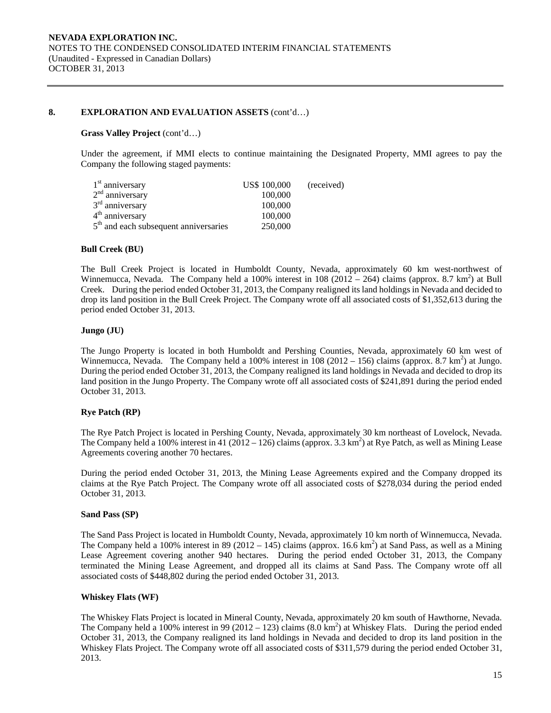#### **8. EXPLORATION AND EVALUATION ASSETS** (cont'd…)

#### **Grass Valley Project** (cont'd…)

Under the agreement, if MMI elects to continue maintaining the Designated Property, MMI agrees to pay the Company the following staged payments:

| 1 <sup>st</sup> anniversary                       | US\$ 100,000 | (received) |
|---------------------------------------------------|--------------|------------|
| $2nd$ anniversary                                 | 100,000      |            |
| $3rd$ anniversary                                 | 100,000      |            |
| $4th$ anniversary                                 | 100,000      |            |
| 5 <sup>th</sup> and each subsequent anniversaries | 250,000      |            |

#### **Bull Creek (BU)**

The Bull Creek Project is located in Humboldt County, Nevada, approximately 60 km west-northwest of Winnemucca, Nevada. The Company held a 100% interest in 108 (2012 – 264) claims (approx. 8.7 km<sup>2</sup>) at Bull Creek. During the period ended October 31, 2013, the Company realigned its land holdings in Nevada and decided to drop its land position in the Bull Creek Project. The Company wrote off all associated costs of \$1,352,613 during the period ended October 31, 2013.

#### **Jungo (JU)**

The Jungo Property is located in both Humboldt and Pershing Counties, Nevada, approximately 60 km west of Winnemucca, Nevada. The Company held a 100% interest in  $\overline{108}$  (2012 – 156) claims (approx. 8.7 km<sup>2</sup>) at Jungo. During the period ended October 31, 2013, the Company realigned its land holdings in Nevada and decided to drop its land position in the Jungo Property. The Company wrote off all associated costs of \$241,891 during the period ended October 31, 2013.

### **Rye Patch (RP)**

The Rye Patch Project is located in Pershing County, Nevada, approximately 30 km northeast of Lovelock, Nevada. The Company held a 100% interest in 41 (2012 – 126) claims (approx. 3.3 km<sup>2</sup>) at Rye Patch, as well as Mining Lease Agreements covering another 70 hectares.

During the period ended October 31, 2013, the Mining Lease Agreements expired and the Company dropped its claims at the Rye Patch Project. The Company wrote off all associated costs of \$278,034 during the period ended October 31, 2013.

### **Sand Pass (SP)**

The Sand Pass Project is located in Humboldt County, Nevada, approximately 10 km north of Winnemucca, Nevada. The Company held a 100% interest in 89 (2012 – 145) claims (approx. 16.6 km<sup>2</sup>) at Sand Pass, as well as a Mining Lease Agreement covering another 940 hectares. During the period ended October 31, 2013, the Company terminated the Mining Lease Agreement, and dropped all its claims at Sand Pass. The Company wrote off all associated costs of \$448,802 during the period ended October 31, 2013.

#### **Whiskey Flats (WF)**

The Whiskey Flats Project is located in Mineral County, Nevada, approximately 20 km south of Hawthorne, Nevada. The Company held a 100% interest in 99 (2012 – 123) claims  $(8.0 \text{ km}^2)$  at Whiskey Flats. During the period ended October 31, 2013, the Company realigned its land holdings in Nevada and decided to drop its land position in the Whiskey Flats Project. The Company wrote off all associated costs of \$311,579 during the period ended October 31, 2013.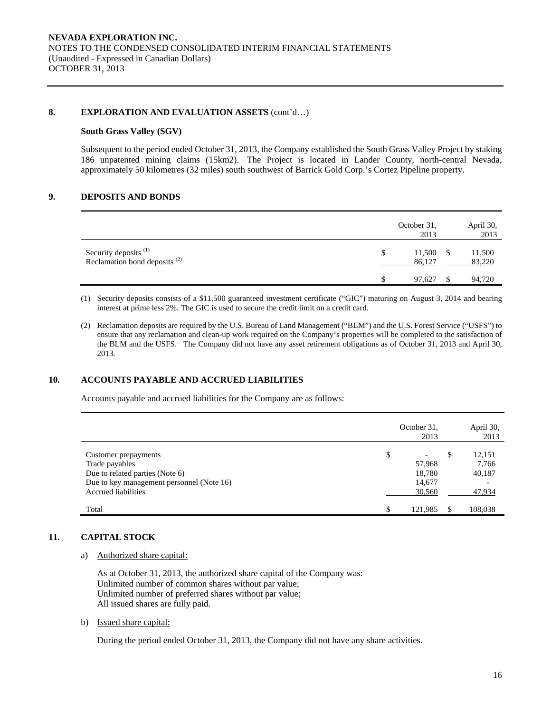#### **8. EXPLORATION AND EVALUATION ASSETS** (cont'd…)

#### **South Grass Valley (SGV)**

Subsequent to the period ended October 31, 2013, the Company established the South Grass Valley Project by staking 186 unpatented mining claims (15km2). The Project is located in Lander County, north-central Nevada, approximately 50 kilometres (32 miles) south southwest of Barrick Gold Corp.'s Cortez Pipeline property.

#### **9. DEPOSITS AND BONDS**

|                                                                              | October 31,<br>2013    |   | April 30,<br>2013 |
|------------------------------------------------------------------------------|------------------------|---|-------------------|
| Security deposits <sup>(1)</sup><br>Reclamation bond deposits <sup>(2)</sup> | \$<br>11,500<br>86,127 | S | 11,500<br>83,220  |
|                                                                              | \$<br>97,627           |   | 94,720            |

(1) Security deposits consists of a \$11,500 guaranteed investment certificate ("GIC") maturing on August 3, 2014 and bearing interest at prime less 2%. The GIC is used to secure the credit limit on a credit card.

(2) Reclamation deposits are required by the U.S. Bureau of Land Management ("BLM") and the U.S. Forest Service ("USFS") to ensure that any reclamation and clean-up work required on the Company's properties will be completed to the satisfaction of the BLM and the USFS. The Company did not have any asset retirement obligations as of October 31, 2013 and April 30, 2013.

## **10. ACCOUNTS PAYABLE AND ACCRUED LIABILITIES**

Accounts payable and accrued liabilities for the Company are as follows:

|                                                                                                                        | October 31,<br>2013                                          |   | April 30,<br>2013         |
|------------------------------------------------------------------------------------------------------------------------|--------------------------------------------------------------|---|---------------------------|
| Customer prepayments<br>Trade payables<br>Due to related parties (Note 6)<br>Due to key management personnel (Note 16) | \$<br>$\overline{\phantom{a}}$<br>57,968<br>18.780<br>14,677 | S | 12,151<br>7,766<br>40,187 |
| <b>Accrued liabilities</b>                                                                                             | 30,560                                                       |   | 47,934                    |
| Total                                                                                                                  | \$<br>121.985                                                |   | 108.038                   |

## **11. CAPITAL STOCK**

a) Authorized share capital:

As at October 31, 2013, the authorized share capital of the Company was: Unlimited number of common shares without par value; Unlimited number of preferred shares without par value; All issued shares are fully paid.

b) Issued share capital:

During the period ended October 31, 2013, the Company did not have any share activities.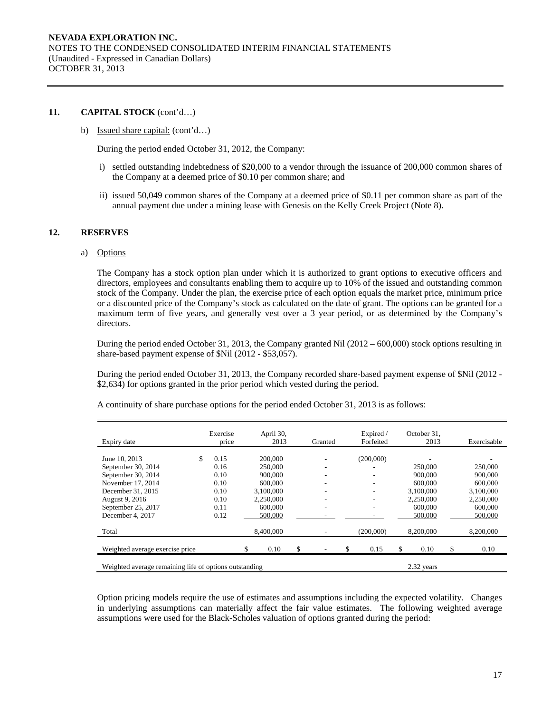## **11. CAPITAL STOCK** (cont'd…)

b) Issued share capital: (cont'd…)

During the period ended October 31, 2012, the Company:

- i) settled outstanding indebtedness of \$20,000 to a vendor through the issuance of 200,000 common shares of the Company at a deemed price of \$0.10 per common share; and
- ii) issued 50,049 common shares of the Company at a deemed price of \$0.11 per common share as part of the annual payment due under a mining lease with Genesis on the Kelly Creek Project (Note 8).

## **12. RESERVES**

a) Options

The Company has a stock option plan under which it is authorized to grant options to executive officers and directors, employees and consultants enabling them to acquire up to 10% of the issued and outstanding common stock of the Company. Under the plan, the exercise price of each option equals the market price, minimum price or a discounted price of the Company's stock as calculated on the date of grant. The options can be granted for a maximum term of five years, and generally vest over a 3 year period, or as determined by the Company's directors.

During the period ended October 31, 2013, the Company granted Nil (2012 – 600,000) stock options resulting in share-based payment expense of \$Nil (2012 - \$53,057).

During the period ended October 31, 2013, the Company recorded share-based payment expense of \$Nil (2012 - \$2,634) for options granted in the prior period which vested during the period.

| Expiry date                                            | Exercise<br>price | April 30,<br>2013 | Granted | Expired /<br>Forfeited | October 31.<br>2013 | Exercisable |
|--------------------------------------------------------|-------------------|-------------------|---------|------------------------|---------------------|-------------|
| June 10, 2013                                          | \$<br>0.15        | 200,000           |         | (200,000)              |                     |             |
| September 30, 2014                                     | 0.16              | 250,000           |         |                        | 250,000             | 250,000     |
| September 30, 2014                                     | 0.10              | 900,000           |         | ۰                      | 900,000             | 900,000     |
| November 17, 2014                                      | 0.10              | 600,000           |         | ۰                      | 600,000             | 600,000     |
| December 31, 2015                                      | 0.10              | 3.100.000         |         |                        | 3.100.000           | 3,100,000   |
| August 9, 2016                                         | 0.10              | 2.250,000         |         |                        | 2.250,000           | 2.250,000   |
| September 25, 2017                                     | 0.11              | 600,000           |         |                        | 600,000             | 600,000     |
| December 4, 2017                                       | 0.12              | 500,000           |         |                        | 500,000             | 500,000     |
|                                                        |                   |                   |         |                        |                     |             |
| Total                                                  |                   | 8,400,000         |         | (200,000)              | 8,200,000           | 8,200,000   |
|                                                        |                   |                   |         |                        |                     |             |
| Weighted average exercise price                        |                   | 0.10              |         | 0.15                   | 0.10                | 0.10        |
| Weighted average remaining life of options outstanding |                   |                   |         |                        | 2.32 years          |             |

A continuity of share purchase options for the period ended October 31, 2013 is as follows:

Option pricing models require the use of estimates and assumptions including the expected volatility. Changes in underlying assumptions can materially affect the fair value estimates. The following weighted average assumptions were used for the Black-Scholes valuation of options granted during the period: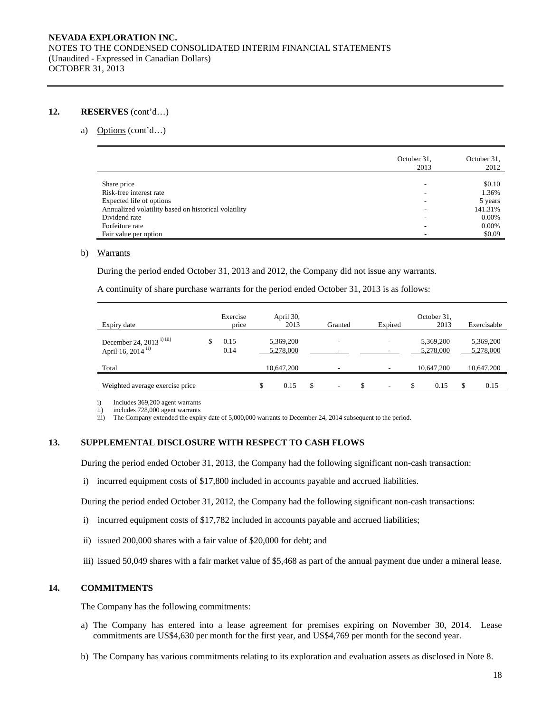### **12. RESERVES** (cont'd…)

a) Options (cont'd…)

|                                                      | October 31,<br>2013 | October 31,<br>2012 |
|------------------------------------------------------|---------------------|---------------------|
|                                                      |                     | \$0.10              |
| Share price                                          |                     |                     |
| Risk-free interest rate                              |                     | 1.36%               |
| Expected life of options                             |                     | 5 years             |
| Annualized volatility based on historical volatility |                     | 141.31%             |
| Dividend rate                                        |                     | $0.00\%$            |
| Forfeiture rate                                      |                     | $0.00\%$            |
| Fair value per option                                |                     | \$0.09              |

## b) Warrants

During the period ended October 31, 2013 and 2012, the Company did not issue any warrants.

A continuity of share purchase warrants for the period ended October 31, 2013 is as follows:

| Expiry date                                                | Exercise<br>price | April 30,<br>2013      | Granted | Expired | October 31,<br>2013    | Exercisable            |
|------------------------------------------------------------|-------------------|------------------------|---------|---------|------------------------|------------------------|
| December 24, 2013 <sup>i) iii)</sup><br>April 16, 2014 ii) | 0.15<br>0.14      | 5,369,200<br>5,278,000 |         |         | 5,369,200<br>5,278,000 | 5,369,200<br>5,278,000 |
| Total                                                      |                   | 10,647,200             |         |         | 10.647.200             | 10,647,200             |
| Weighted average exercise price                            |                   | 0.15                   | ۰       | \$<br>- | 0.15                   | 0.15                   |

i) Includes 369,200 agent warrants

ii) includes 728,000 agent warrants

ii) The Company extended the expiry date of 5,000,000 warrants to December 24, 2014 subsequent to the period.

## **13. SUPPLEMENTAL DISCLOSURE WITH RESPECT TO CASH FLOWS**

During the period ended October 31, 2013, the Company had the following significant non-cash transaction:

i) incurred equipment costs of \$17,800 included in accounts payable and accrued liabilities.

During the period ended October 31, 2012, the Company had the following significant non-cash transactions:

- i) incurred equipment costs of \$17,782 included in accounts payable and accrued liabilities;
- ii) issued 200,000 shares with a fair value of \$20,000 for debt; and
- iii) issued 50,049 shares with a fair market value of \$5,468 as part of the annual payment due under a mineral lease.

## **14. COMMITMENTS**

The Company has the following commitments:

- a) The Company has entered into a lease agreement for premises expiring on November 30, 2014. Lease commitments are US\$4,630 per month for the first year, and US\$4,769 per month for the second year.
- b) The Company has various commitments relating to its exploration and evaluation assets as disclosed in Note 8.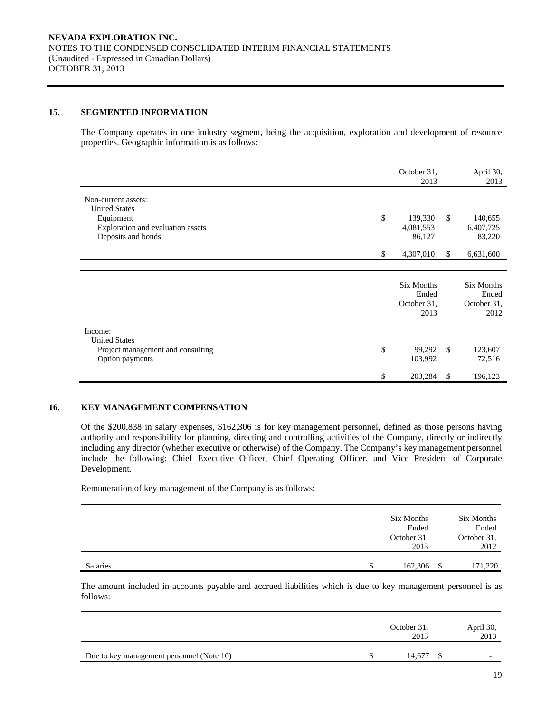## **15. SEGMENTED INFORMATION**

The Company operates in one industry segment, being the acquisition, exploration and development of resource properties. Geographic information is as follows:

|                                                                                               |    | October 31,<br>2013                               |               | April 30,<br>2013                                 |
|-----------------------------------------------------------------------------------------------|----|---------------------------------------------------|---------------|---------------------------------------------------|
| Non-current assets:<br><b>United States</b><br>Equipment<br>Exploration and evaluation assets | \$ | 139,330<br>4,081,553                              | \$            | 140,655<br>6,407,725                              |
| Deposits and bonds                                                                            | S  | 86,127<br>4,307,010                               | S.            | 83,220<br>6,631,600                               |
|                                                                                               |    |                                                   |               |                                                   |
|                                                                                               |    | <b>Six Months</b><br>Ended<br>October 31,<br>2013 |               | <b>Six Months</b><br>Ended<br>October 31,<br>2012 |
| Income:<br><b>United States</b><br>Project management and consulting                          | \$ | 99,292                                            | <sup>\$</sup> | 123,607                                           |
| Option payments                                                                               |    | 103,992                                           |               | 72,516                                            |
|                                                                                               | \$ | 203,284                                           | S             | 196,123                                           |

## **16. KEY MANAGEMENT COMPENSATION**

Of the \$200,838 in salary expenses, \$162,306 is for key management personnel, defined as those persons having authority and responsibility for planning, directing and controlling activities of the Company, directly or indirectly including any director (whether executive or otherwise) of the Company. The Company's key management personnel include the following: Chief Executive Officer, Chief Operating Officer, and Vice President of Corporate Development.

Remuneration of key management of the Company is as follows:

|          |   | Six Months<br>Ended<br>October 31,<br>2013 |      | Six Months<br>Ended<br>October 31,<br>2012 |
|----------|---|--------------------------------------------|------|--------------------------------------------|
| Salaries | S | 162,306                                    | - \$ | 171,220                                    |

The amount included in accounts payable and accrued liabilities which is due to key management personnel is as follows:

|                                           | October 31,<br>2013 | April 30,<br>2013 |
|-------------------------------------------|---------------------|-------------------|
| Due to key management personnel (Note 10) | 14.677              |                   |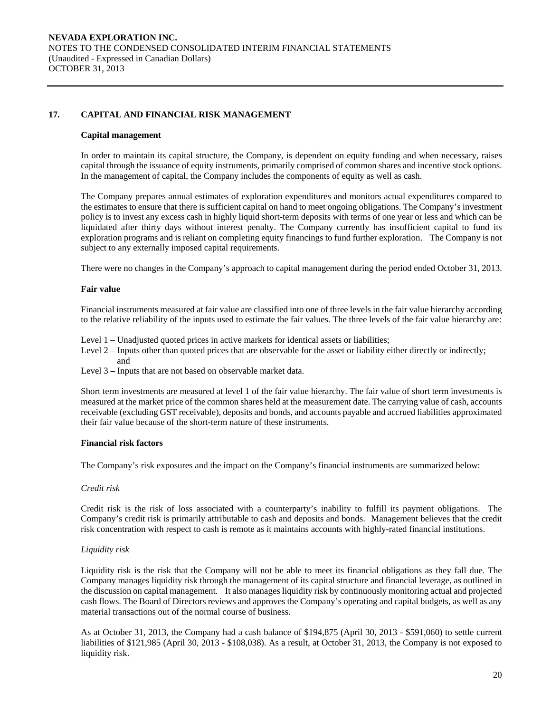## **17. CAPITAL AND FINANCIAL RISK MANAGEMENT**

#### **Capital management**

In order to maintain its capital structure, the Company, is dependent on equity funding and when necessary, raises capital through the issuance of equity instruments, primarily comprised of common shares and incentive stock options. In the management of capital, the Company includes the components of equity as well as cash.

The Company prepares annual estimates of exploration expenditures and monitors actual expenditures compared to the estimates to ensure that there is sufficient capital on hand to meet ongoing obligations. The Company's investment policy is to invest any excess cash in highly liquid short-term deposits with terms of one year or less and which can be liquidated after thirty days without interest penalty. The Company currently has insufficient capital to fund its exploration programs and is reliant on completing equity financings to fund further exploration. The Company is not subject to any externally imposed capital requirements.

There were no changes in the Company's approach to capital management during the period ended October 31, 2013.

## **Fair value**

Financial instruments measured at fair value are classified into one of three levels in the fair value hierarchy according to the relative reliability of the inputs used to estimate the fair values. The three levels of the fair value hierarchy are:

Level 1 – Unadjusted quoted prices in active markets for identical assets or liabilities;

- Level 2 Inputs other than quoted prices that are observable for the asset or liability either directly or indirectly; and
- Level 3 Inputs that are not based on observable market data.

Short term investments are measured at level 1 of the fair value hierarchy. The fair value of short term investments is measured at the market price of the common shares held at the measurement date. The carrying value of cash, accounts receivable (excluding GST receivable), deposits and bonds, and accounts payable and accrued liabilities approximated their fair value because of the short-term nature of these instruments.

## **Financial risk factors**

The Company's risk exposures and the impact on the Company's financial instruments are summarized below:

## *Credit risk*

 Credit risk is the risk of loss associated with a counterparty's inability to fulfill its payment obligations. The Company's credit risk is primarily attributable to cash and deposits and bonds. Management believes that the credit risk concentration with respect to cash is remote as it maintains accounts with highly-rated financial institutions.

## *Liquidity risk*

Liquidity risk is the risk that the Company will not be able to meet its financial obligations as they fall due. The Company manages liquidity risk through the management of its capital structure and financial leverage, as outlined in the discussion on capital management. It also manages liquidity risk by continuously monitoring actual and projected cash flows. The Board of Directors reviews and approves the Company's operating and capital budgets, as well as any material transactions out of the normal course of business.

As at October 31, 2013, the Company had a cash balance of \$194,875 (April 30, 2013 - \$591,060) to settle current liabilities of \$121,985 (April 30, 2013 - \$108,038). As a result, at October 31, 2013, the Company is not exposed to liquidity risk.